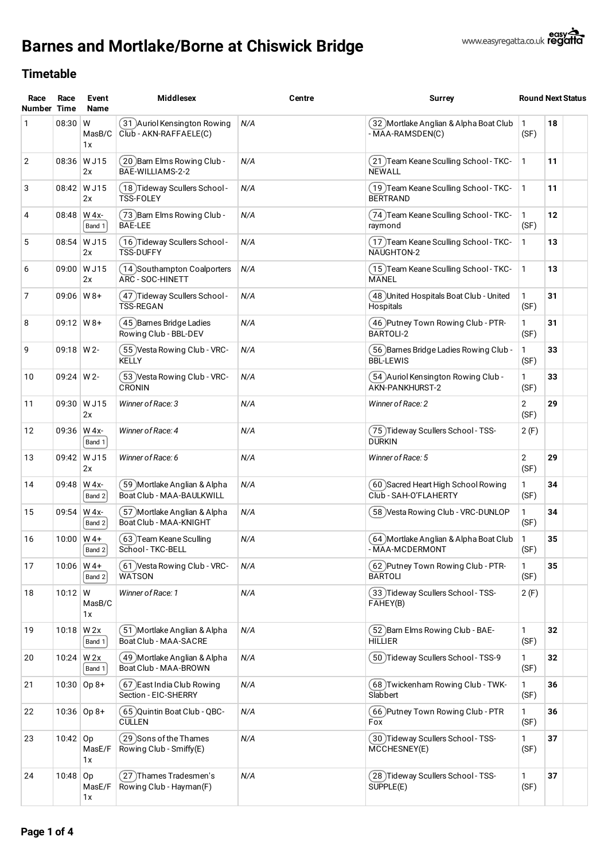



| Race<br><b>Number</b> | Race<br>Time     | Event<br>Name              | <b>Middlesex</b>                                         | Centre | Surrey                                                        |                        | <b>Round Next Status</b> |  |
|-----------------------|------------------|----------------------------|----------------------------------------------------------|--------|---------------------------------------------------------------|------------------------|--------------------------|--|
| $\mathbf{1}$          | 08:30            | ${\sf W}$<br>MasB/C<br>1x  | 31 )Auriol Kensington Rowing<br>Club - AKN-RAFFAELE(C)   | N/A    | 32 Mortlake Anglian & Alpha Boat Club<br>- MAA-RAMSDEN(C)     |                        | 18                       |  |
| 2                     |                  | 08:36 W J15<br>2x          | (20 )Barn Elms Rowing Club -<br>BAE-WILLIAMS-2-2         | N/A    | (21 )Team Keane Sculling School - TKC-<br><b>NEWALL</b>       | 1                      | 11                       |  |
| 3                     |                  | 08:42 W J15<br>2x          | . 18 )Tideway Scullers School)<br><b>TSS-FOLEY</b>       | N/A    | (19 )Team Keane Sculling School - TKC-<br><b>BERTRAND</b>     | 1                      | 11                       |  |
| 4                     | 08:48            | W 4x-<br>Band 1            | (73) Barn Elms Rowing Club -<br><b>BAE-LEE</b>           | N/A    | 74) Team Keane Sculling School - TKC-<br>raymond              | 1<br>(SF)              | 12                       |  |
| 5                     |                  | 08:54 W J15<br>2x          | (16) Tideway Scullers School -<br><b>TSS-DUFFY</b>       | N/A    | (17) Team Keane Sculling School - TKC-<br>NAUGHTON-2          | 1                      | 13                       |  |
| 6                     |                  | 09:00 W J15<br>2x          | (14 )Southampton Coalporters<br>ARC - SOC-HINETT         | N/A    | (15) Team Keane Sculling School - TKC-<br>MANEL               | 1                      | 13                       |  |
| $\overline{7}$        | $09:06$   W 8+   |                            | 47 )Tideway Scullers School -<br><b>TSS-REGAN</b>        | N/A    | (48)United Hospitals Boat Club - United<br>Hospitals          | 1<br>(SF)              | 31                       |  |
| 8                     | $09:12 \mid W8+$ |                            | (45) Barnes Bridge Ladies<br>Rowing Club - BBL-DEV       | N/A    | (46) Putney Town Rowing Club - PTR-<br>BARTOLI-2              | 1<br>(SF)              | 31                       |  |
| 9                     | $09:18$ W 2-     |                            | 55 Vesta Rowing Club - VRC-<br><b>KELLY</b>              | N/A    | 56 Barnes Bridge Ladies Rowing Club -<br><b>BBL-LEWIS</b>     | 1<br>(SF)              | 33                       |  |
| 10                    | 09:24   W 2-     |                            | 53 Vesta Rowing Club - VRC-<br>CRONIN                    | N/A    | 54 )Auriol Kensington Rowing Club -<br>AKN-PANKHURST-2        | 1<br>(SF)              | 33                       |  |
| 11                    |                  | 09:30 W J15<br>2x          | Winner of Race: 3                                        | N/A    | Winner of Race: 2                                             | $\overline{2}$<br>(SF) | 29                       |  |
| 12                    |                  | 09:36 W 4x-<br>Band 1      | Winner of Race: 4                                        | N/A    | 75) Tideway Scullers School - TSS-<br><b>DURKIN</b>           | 2(F)                   |                          |  |
| 13                    |                  | 09:42 W J15<br>2x          | Winner of Race: 6                                        | N/A    | Winner of Race: 5                                             | 2<br>(SF)              | 29                       |  |
| 14                    | 09:48            | W 4x-<br>Band 2            | 59 Mortlake Anglian & Alpha<br>Boat Club - MAA-BAULKWILL | N/A    | 〔60 )Sacred Heart High School Rowing<br>Club - SAH-O'FLAHERTY | 1<br>(SF)              | 34                       |  |
| 15                    | 09:54            | W 4x-<br>Band 2            | 〔57 )Mortlake Anglian & Alpha<br>Boat Club - MAA-KNIGHT  | N/A    | 58 Vesta Rowing Club - VRC-DUNLOP                             | 1<br>(SF)              | 34                       |  |
| 16                    | 10:00            | $W$ 4+<br>Band 2           | 63) Team Keane Sculling<br>School-TKC-BELL               | N/A    | [64 )Mortlake Anglian & Alpha Boat Club<br>- MAA-MCDERMONT    | 1<br>(SF)              | 35                       |  |
| 17                    |                  | $10:06 \mid W4+$<br>Band 2 | (61 ) Vesta Rowing Club - VRC-<br><b>WATSON</b>          | N/A    | (62) Putney Town Rowing Club - PTR-<br><b>BARTOLI</b>         | 1<br>(SF)              | 35                       |  |
| 18                    | $10:12 \mid W$   | MasB/C<br>1x               | Winner of Race: 1                                        | N/A    | (33) Tideway Scullers School - TSS-<br>FAHEY(B)               | 2(F)                   |                          |  |
| 19                    | $10:18$ W 2x     | Band 1                     | 51 Mortlake Anglian & Alpha<br>Boat Club - MAA-SACRE     | N/A    | 52 Barn Elms Rowing Club - BAE-<br><b>HILLIER</b>             | 1<br>(SF)              | 32                       |  |
| 20                    | 10:24 $W$ 2x     | Band 1                     | ( 49 )Mortlake Anglian & Alpha<br>Boat Club - MAA-BROWN  | N/A    | 50)Tideway Scullers School - TSS-9                            | 1<br>(SF)              | 32                       |  |
| 21                    |                  | $10:30$ Op 8+              | 67) East India Club Rowing<br>Section - EIC-SHERRY       | N/A    | (68) Twickenham Rowing Club - TWK-<br>Slabbert                | 1<br>(SF)              | 36                       |  |
| 22                    |                  | $10:36$ Op 8+              | 65 Quintin Boat Club - QBC-<br><b>CULLEN</b>             | N/A    | (66 )Putney Town Rowing Club - PTR<br>Fox                     | 1<br>(SF)              | 36                       |  |
| 23                    | $10:42$ Op       | MasE/F<br>1x               | (29) Sons of the Thames<br>Rowing Club - Smiffy(E)       | N/A    | (30) Tideway Scullers School - TSS-<br>MCCHESNEY(E)           | 1<br>(SF)              | 37                       |  |
| 24                    | $10:48$ Op       | MasE/F<br>1x               | (27)Thames Tradesmen's<br>Rowing Club - Hayman(F)        | N/A    | (28) Tideway Scullers School - TSS-<br>SUPPLE(E)              | 1<br>(SF)              | 37                       |  |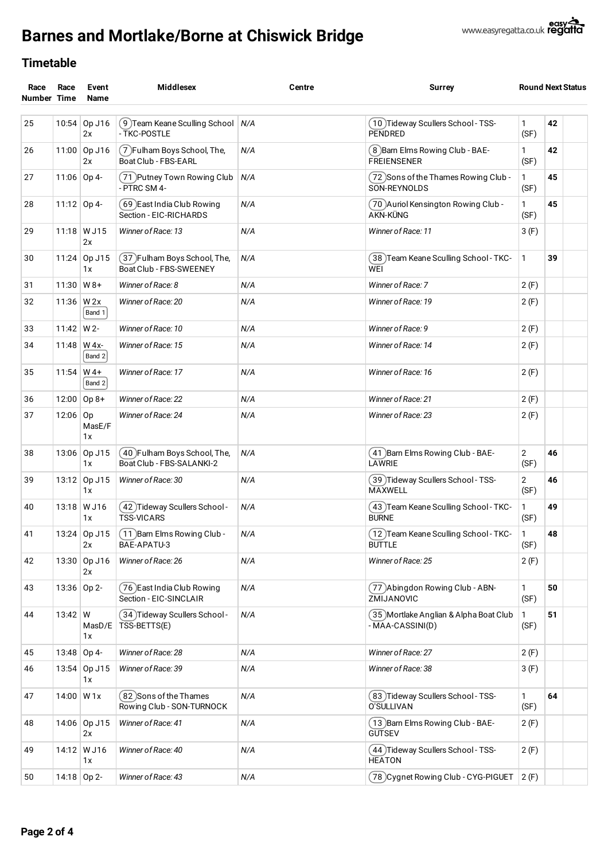# **Barnes and Mortlake/Borne at Chiswick Bridge**



| Race<br>Race<br>Number Time<br>Name |                | Event              | <b>Middlesex</b>                                           | Centre | Surrey                                                    | <b>Round Next Status</b> |    |
|-------------------------------------|----------------|--------------------|------------------------------------------------------------|--------|-----------------------------------------------------------|--------------------------|----|
| 25                                  | 10:54          | Op J16<br>2x       | (9) Team Keane Sculling School<br>- TKC-POSTLE             | N/A    | (10) Tideway Scullers School - TSS-<br><b>PENDRED</b>     | $\mathbf{1}$<br>(SF)     | 42 |
| 26                                  |                | 11:00 Op J16<br>2x | (7) Fulham Boys School, The,<br>Boat Club - FBS-EARL       | N/A    | (8) Barn Elms Rowing Club - BAE-<br><b>FREIENSENER</b>    | 1<br>(SF)                | 42 |
| 27                                  |                | 11:06 Op 4-        | (71) Putney Town Rowing Club<br>- PTRC SM 4-               | N/A    | (72) Sons of the Thames Rowing Club -<br>SON-REYNOLDS     | 1<br>(SF)                | 45 |
| 28                                  |                | 11:12 Op 4-        | (69) East India Club Rowing<br>Section - EIC-RICHARDS      | N/A    | 70 Auriol Kensington Rowing Club -<br>AKN-KÜNG            | $\mathbf{1}$<br>(SF)     | 45 |
| 29                                  |                | 11:18 W J15<br>2x  | Winner of Race: 13                                         | N/A    | Winner of Race: 11                                        | 3(F)                     |    |
| 30                                  | 11:24          | Op J15<br>1x       | (37) Fulham Boys School, The,<br>Boat Club - FBS-SWEENEY   | N/A    | ( 38 )Team Keane Sculling School - TKC-<br>WEI            | 1                        | 39 |
| 31                                  | 11:30          | $W8+$              | Winner of Race: 8                                          | N/A    | Winner of Race: 7                                         | 2(F)                     |    |
| 32                                  | 11:36          | W 2x<br>Band 1     | Winner of Race: 20                                         | N/A    | Winner of Race: 19                                        | 2(F)                     |    |
| 33                                  | 11:42          | W 2-               | Winner of Race: 10                                         | N/A    | Winner of Race: 9                                         | 2(F)                     |    |
| 34                                  | 11:48          | W 4x-<br>Band 2    | Winner of Race: 15                                         | N/A    | Winner of Race: 14                                        | 2(F)                     |    |
| 35                                  | 11:54          | $W$ 4+<br>Band 2   | Winner of Race: 17                                         | N/A    | Winner of Race: 16                                        | 2(F)                     |    |
| 36                                  | 12:00          | $Op 8+$            | Winner of Race: 22                                         | N/A    | Winner of Race: 21                                        |                          |    |
| 37                                  | 12:06   0p     | MasE/F<br>1x       | Winner of Race: 24                                         | N/A    | Winner of Race: 23                                        | 2(F)                     |    |
| 38                                  |                | 13:06 Op J15<br>1x | (40) Fulham Boys School, The,<br>Boat Club - FBS-SALANKI-2 | N/A    | (41 )Barn Elms Rowing Club - BAE-<br>LAWRIE               | $\overline{2}$<br>(SF)   | 46 |
| 39                                  | 13:12          | Op J15<br>1x       | Winner of Race: 30                                         | N/A    | (39 )Tideway Scullers School - TSS-<br><b>MAXWELL</b>     | $\mathbf{2}$<br>(SF)     | 46 |
| 40                                  |                | 13:18 W J16<br>1x  | (42) Tideway Scullers School -<br><b>TSS-VICARS</b>        | N/A    | ( 43 )Team Keane Sculling School - TKC-<br><b>BURNE</b>   | 1<br>(SF)                | 49 |
| 41                                  |                | 13:24 Op J15<br>2x | (11) Barn Elms Rowing Club -<br>BAE-APATU-3                | N/A    | (12) Team Keane Sculling School - TKC-<br><b>BULLE</b>    | 1<br>(SF)                | 48 |
| 42                                  |                | 13:30 Op J16<br>2x | Winner of Race: 26                                         | N/A    | Winner of Race: 25                                        | 2(F)                     |    |
| 43                                  |                | 13:36 Op 2-        | (76) East India Club Rowing<br>Section - EIC-SINCLAIR      | N/A    | (77) Abingdon Rowing Club - ABN-<br>ZMIJANOVIC            | $\mathbf{1}$<br>(SF)     | 50 |
| 44                                  | $13:42 \mid W$ | 1x                 | (34) Tideway Scullers School-<br>MasD/E   TSS-BETTS(E)     | N/A    | 35 Mortlake Anglian & Alpha Boat Club<br>- MAA-CASSINI(D) | 1<br>(SF)                | 51 |
| 45                                  |                | 13:48 Op 4-        | Winner of Race: 28                                         | N/A    | Winner of Race: 27                                        | 2(F)                     |    |
| 46                                  |                | 13:54 Op J15<br>1x | Winner of Race: 39                                         | N/A    | Winner of Race: 38                                        | 3(F)                     |    |
| 47                                  | $14:00$ W 1x   |                    | (82) Sons of the Thames<br>Rowing Club - SON-TURNOCK       | N/A    | (83) Tideway Scullers School - TSS-<br>O'SULLIVAN         | $\mathbf{1}$<br>(SF)     | 64 |
| 48                                  |                | 14:06 Op J15<br>2x | Winner of Race: 41                                         | N/A    | (13) Barn Elms Rowing Club - BAE-<br><b>GUTSEV</b>        | 2(F)                     |    |
| 49                                  | 14:12          | W J16<br>1x        | Winner of Race: 40                                         | N/A    | (44) Tideway Scullers School - TSS-<br><b>HEATON</b>      | 2(F)                     |    |
| 50                                  |                | 14:18 Op 2-        | Winner of Race: 43                                         | N/A    | 78 Cygnet Rowing Club - CYG-PIGUET                        | 2(F)                     |    |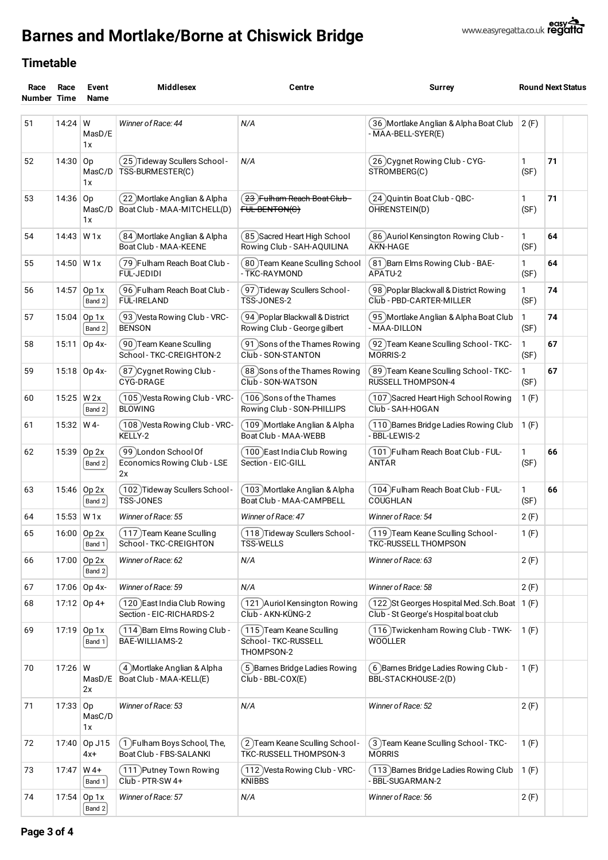# **Barnes and Mortlake/Borne at Chiswick Bridge**



| Race<br>Number Time | Race         | Event<br>Name            | <b>Middlesex</b>                                            | Centre                                                                                                    | <b>Surrey</b>                                                                             | <b>Round Next Status</b> |    |  |
|---------------------|--------------|--------------------------|-------------------------------------------------------------|-----------------------------------------------------------------------------------------------------------|-------------------------------------------------------------------------------------------|--------------------------|----|--|
| 51<br>$14:24$ W     |              | MasD/E                   | Winner of Race: 44                                          | N/A                                                                                                       | 36 Mortlake Anglian & Alpha Boat Club<br>- MAA-BELL-SYER(E)                               | 2(F)                     |    |  |
| 52                  | 14:30        | 1x<br>Op<br>MasC/D<br>1x | 25) Tideway Scullers School-<br>TSS-BURMESTER(C)            | N/A                                                                                                       | 26 Cygnet Rowing Club - CYG-<br>STROMBERG(C)                                              | 1<br>(SF)                | 71 |  |
| 53                  | 14:36        | Op<br>MasC/D<br>1x       | 22 Mortlake Anglian & Alpha)<br>Boat Club - MAA-MITCHELL(D) | <del>23</del> Fulham Reach Boat Club -<br>(24) Quintin Boat Club - QBC-<br>OHRENSTEIN(D)<br>FUL-BENTON(C) |                                                                                           | 1<br>(SF)                | 71 |  |
| 54                  | 14:43        | W <sub>1x</sub>          | 84 Mortlake Anglian & Alpha<br>Boat Club - MAA-KEENE        | (85) Sacred Heart High School<br>Rowing Club - SAH-AQUILINA                                               | (86)Auriol Kensington Rowing Club -<br><b>AKN-HAGE</b>                                    | 1<br>(SF)                | 64 |  |
| 55                  | $14:50$ W 1x |                          | 79 Fulham Reach Boat Club -<br>FUL-JEDIDI                   | ( 80 )Team Keane Sculling School<br>- TKC-RAYMOND                                                         | (81) Barn Elms Rowing Club - BAE-<br>APATU-2                                              | 1<br>(SF)                | 64 |  |
| 56                  | 14:57        | Op 1x<br>Band 2          | 96 Fulham Reach Boat Club -<br><b>FUL-IRELAND</b>           | [97] Tideway Scullers School-<br>TSS-JONES-2                                                              | 98 Poplar Blackwall & District Rowing<br>Club - PBD-CARTER-MILLER                         |                          | 74 |  |
| 57                  | 15:04        | Op 1x<br>Band 2          | 93 Vesta Rowing Club - VRC-<br><b>BENSON</b>                | 94 ) Poplar Blackwall & District<br>Rowing Club - George gilbert                                          | 95 Mortlake Anglian & Alpha Boat Club<br>- MAA-DILLON                                     |                          | 74 |  |
| 58                  | 15:11        | Op 4x-                   | 90 Team Keane Sculling<br>School-TKC-CREIGHTON-2            | [91 )Sons of the Thames Rowing<br>Club - SON-STANTON                                                      | (92 )Team Keane Sculling School - TKC-<br>MORRIS-2                                        | 1<br>(SF)                | 67 |  |
| 59                  |              | 15:18 Op 4x-             | 87 )Cygnet Rowing Club -<br>CYG-DRAGE                       | ( 88 )Sons of the Thames Rowing<br>Club - SON-WATSON                                                      | (89 )Team Keane Sculling School - TKC-<br><b>RUSSELL THOMPSON-4</b>                       | 1<br>(SF)                | 67 |  |
| 60                  | 15:25        | W 2x<br>Band 2           | (105) Vesta Rowing Club - VRC-<br><b>BLOWING</b>            | (106 )Sons of the Thames<br>Rowing Club - SON-PHILLIPS                                                    | (107)Sacred Heart High School Rowing<br>Club - SAH-HOGAN                                  | 1(F)                     |    |  |
| 61                  | 15:32        | W 4-                     | (108) Vesta Rowing Club - VRC-<br>KELLY-2                   | (109 )Mortlake Anglian & Alpha<br>Boat Club - MAA-WEBB                                                    | (110) Barnes Bridge Ladies Rowing Club<br>- BBL-LEWIS-2                                   | 1(F)                     |    |  |
| 62                  | 15:39        | Op 2x<br>Band 2          | 99 London School Of<br>Economics Rowing Club - LSE<br>2x    | ( 100 )East India Club Rowing<br>Section - EIC-GILL                                                       | (101) Fulham Reach Boat Club - FUL-<br>ANTAR                                              |                          | 66 |  |
| 63                  | 15:46        | Op 2x<br>Band 2          | (102) Tideway Scullers School-<br>TSS-JONES                 | (103)Mortlake Anglian & Alpha<br>Boat Club - MAA-CAMPBELL                                                 | (104) Fulham Reach Boat Club - FUL-<br>COUGHLAN                                           |                          | 66 |  |
| 64                  | 15:53        | W <sub>1x</sub>          | Winner of Race: 55                                          | Winner of Race: 47                                                                                        | Winner of Race: 54                                                                        |                          |    |  |
| 65                  |              | 16:00 Op 2x<br>Band 1    | (117) Team Keane Sculling<br>School-TKC-CREIGHTON           | (118) Tideway Scullers School -<br><b>TSS-WELLS</b>                                                       | (119) Team Keane Sculling School -<br><b>TKC-RUSSELL THOMPSON</b>                         |                          |    |  |
| 66                  | 17:00        | Op 2x<br>Band 2          | Winner of Race: 62                                          | N/A                                                                                                       | Winner of Race: 63                                                                        |                          |    |  |
| 67                  |              | 17:06 Op 4x-             | Winner of Race: 59                                          | N/A                                                                                                       | Winner of Race: 58                                                                        |                          |    |  |
| 68                  |              | $17:12$ Op 4+            | (120 )East India Club Rowing<br>Section - EIC-RICHARDS-2    | (121 )Auriol Kensington Rowing<br>Club - AKN-KÜNG-2                                                       | (122) St Georges Hospital Med. Sch. Boat   1 (F)<br>Club - St George's Hospital boat club |                          |    |  |
| 69                  | 17:19        | Op 1x<br>Band $1$        | (114) Barn Elms Rowing Club -<br>BAE-WILLIAMS-2             | (115) Team Keane Sculling<br>School-TKC-RUSSELL<br>THOMPSON-2                                             | (116) Twickenham Rowing Club - TWK-<br>WOOLLER                                            | 1(F)                     |    |  |
| 70                  | $17:26$ W    | MasD/E<br>2x             | (4 )Mortlake Anglian & Alpha<br>Boat Club - MAA-KELL(E)     | 5) Barnes Bridge Ladies Rowing<br>Club - BBL-COX(E)                                                       | (6) Barnes Bridge Ladies Rowing Club -<br>BBL-STACKHOUSE-2(D)                             | 1(F)                     |    |  |
| 71                  | 17:33        | Op<br>MasC/D<br>1x       | Winner of Race: 53                                          | N/A                                                                                                       | Winner of Race: 52                                                                        | 2(F)                     |    |  |
| 72                  | 17:40        | Op J15<br>4x+            | (1)Fulham Boys School, The,<br>Boat Club - FBS-SALANKI      | (2) Team Keane Sculling School -<br>TKC-RUSSELL THOMPSON-3                                                | 3) Team Keane Sculling School - TKC-<br><b>MORRIS</b>                                     | 1(F)                     |    |  |
| 73                  | 17:47        | $W$ 4+<br>Band 1         | [111 )Putney Town Rowing<br>Club - PTR-SW 4+                | ( 112 )Vesta Rowing Club - VRC-<br><b>KNIBBS</b>                                                          | (113 )Barnes Bridge Ladies Rowing Club<br>- BBL-SUGARMAN-2                                | 1(F)                     |    |  |
| 74                  | 17:54        | Op 1x<br>Band 2          | Winner of Race: 57                                          | N/A                                                                                                       | Winner of Race: 56                                                                        | 2(F)                     |    |  |